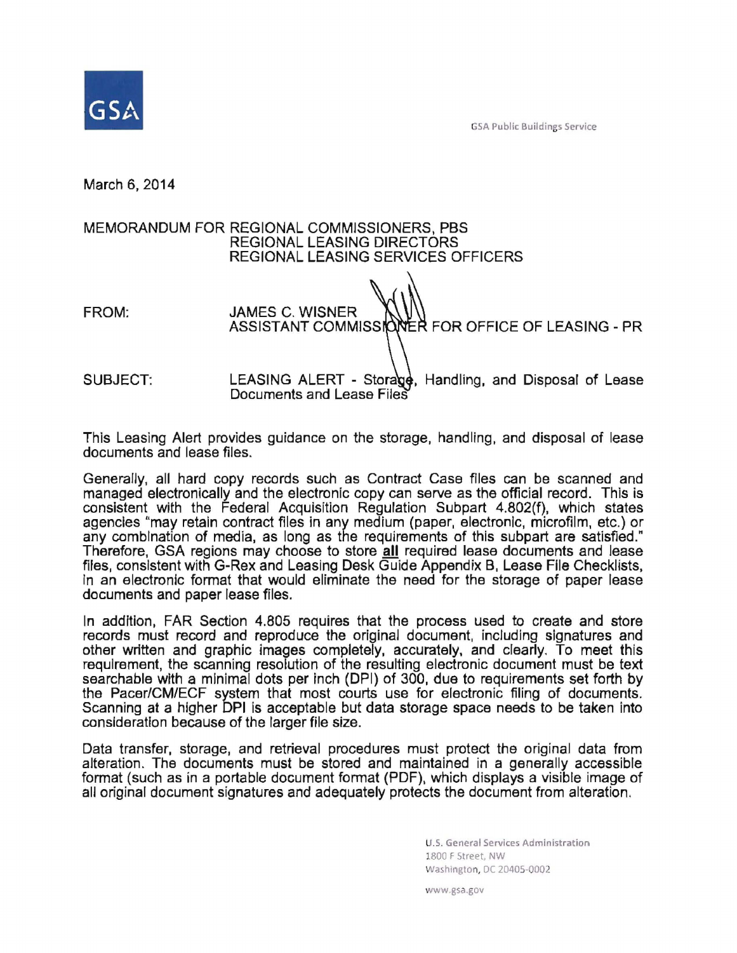SA Public Bu ildings Service



March 6, 2014

## MEMORANDUM FOR REGIONAL COMMISSIONERS, PBS REGIONAL LEASING DIRECTORS REGIONAL LEASING SERVICES OFFICERS

FROM: JAMES C. WISNER ASSISTANT COMMISSIONER FOR OFFICE OF LEASING - PR SUBJECT: LEASING ALERT - Storage, Handling, and Disposal of Lease Documents and Lease Files

This Leasing Alert provides guidance on the storage, handling, and disposal of lease documents and lease files.

Generally, all hard copy records such as Contract Case files can be scanned and managed electronically and the electronic copy can serve as the official record. This is consistent with the Federal Acquisition Regulation Subpart 4.802(f), which states agencies "may retain contract files in any medium (paper, electronic, microfilm, etc.) or any combination of media, as long as the requirements of this subpart are satisfied." Therefore, GSA regions may choose to store all required lease documents and lease files, consistent with G-Rex and Leasing Desk Guide Appendix B, Lease File Checklists, In an electronlc format that would eliminate the need for the storage of paper lease documents and paper lease files.

In addition, FAR Section 4.805 requires that the process used to create and store records must record and reproduce the original document, including signatures and other written and graphic images completely, accurately, and clearly. To meet this requirement, the scanning resolution of the resulting electronic document must be text searchable with a minimal dots per inch (DPI) of 300, due to requirements set forth by the Pacer/CM/ECF system that most courts use for electronic filing of documents. Scanning at a higher DPI is acceptable but data storage space needs to be taken into consideration because of the larger file size.

Data transfer, storage, and retrieval procedures must protect the original data from alteration. The documents must be stored and maintained in a generally accessible format (such as in a portable document format (PDF), which displays a visible image of all original document signatures and adequately protects the document from alteration.

> U. S. General Services Administration 1800 F Street, NW Washington, DC 20405-0002

ww.gsa .gov